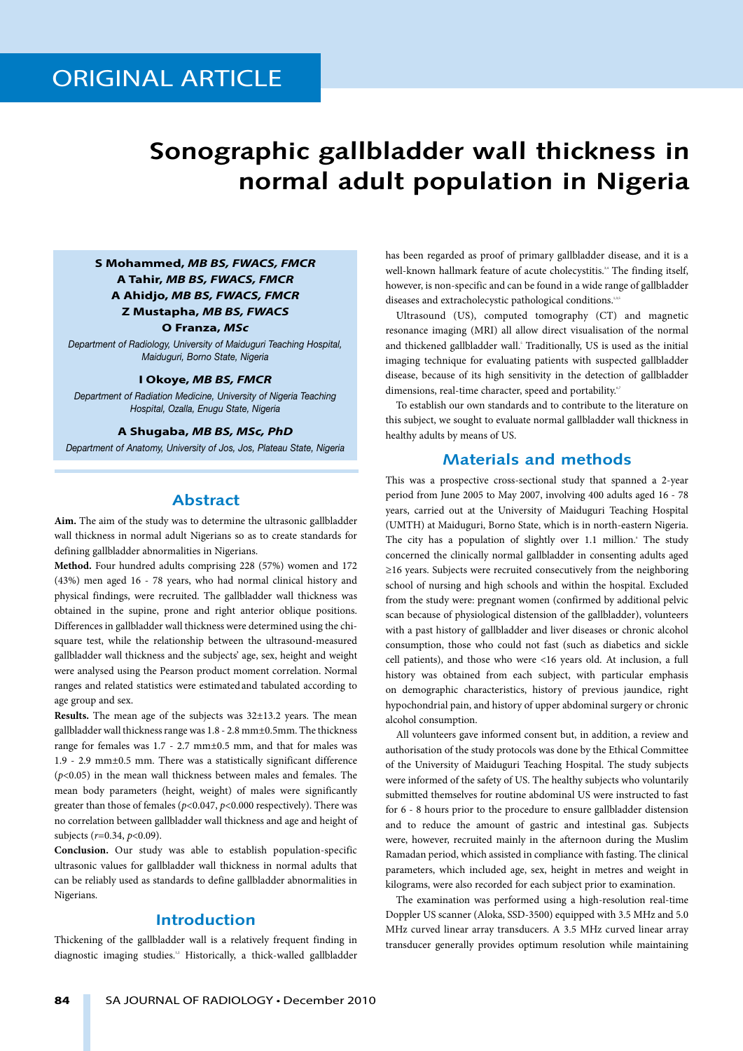# **Sonographic gallbladder wall thickness in normal adult population in Nigeria**

## **S Mohammed,** *MB BS, FWACS, FMCR* **A Tahir,** *MB BS, FWACS, FMCR* **A Ahidjo,** *MB BS, FWACS, FMCR* **Z Mustapha,** *MB BS, FWACS*

**O Franza,** *MSc*

*Department of Radiology, University of Maiduguri Teaching Hospital, Maiduguri, Borno State, Nigeria*

#### **I Okoye,** *MB BS, FMCR*

*Department of Radiation Medicine, University of Nigeria Teaching Hospital, Ozalla, Enugu State, Nigeria*

#### **A Shugaba,** *MB BS, MSc, PhD*

*Department of Anatomy, University of Jos, Jos, Plateau State, Nigeria*

## **Abstract**

**Aim.** The aim of the study was to determine the ultrasonic gallbladder wall thickness in normal adult Nigerians so as to create standards for defining gallbladder abnormalities in Nigerians.

**Method.** Four hundred adults comprising 228 (57%) women and 172 (43%) men aged 16 - 78 years, who had normal clinical history and physical findings, were recruited. The gallbladder wall thickness was obtained in the supine, prone and right anterior oblique positions. Differences in gallbladder wall thickness were determined using the chisquare test, while the relationship between the ultrasound-measured gallbladder wall thickness and the subjects' age, sex, height and weight were analysed using the Pearson product moment correlation. Normal ranges and related statistics were estimatedand tabulated according to age group and sex.

**Results.** The mean age of the subjects was 32±13.2 years. The mean gallbladder wall thickness range was 1.8 - 2.8 mm±0.5mm. The thickness range for females was 1.7 - 2.7 mm±0.5 mm, and that for males was 1.9 - 2.9 mm±0.5 mm. There was a statistically significant difference (*p*<0.05) in the mean wall thickness between males and females. The mean body parameters (height, weight) of males were significantly greater than those of females (*p*<0.047, *p*<0.000 respectively). There was no correlation between gallbladder wall thickness and age and height of subjects (*r*=0.34, *p*<0.09).

**Conclusion.** Our study was able to establish population-specific ultrasonic values for gallbladder wall thickness in normal adults that can be reliably used as standards to define gallbladder abnormalities in Nigerians.

## **Introduction**

Thickening of the gallbladder wall is a relatively frequent finding in diagnostic imaging studies.<sup>12</sup> Historically, a thick-walled gallbladder has been regarded as proof of primary gallbladder disease, and it is a well-known hallmark feature of acute cholecystitis.<sup>34</sup> The finding itself, however, is non-specific and can be found in a wide range of gallbladder diseases and extracholecystic pathological conditions.<sup>1</sup>

Ultrasound (US), computed tomography (CT) and magnetic resonance imaging (MRI) all allow direct visualisation of the normal and thickened gallbladder wall.<sup>8</sup> Traditionally, US is used as the initial imaging technique for evaluating patients with suspected gallbladder disease, because of its high sensitivity in the detection of gallbladder dimensions, real-time character, speed and portability.<sup>67</sup>

To establish our own standards and to contribute to the literature on this subject, we sought to evaluate normal gallbladder wall thickness in healthy adults by means of US.

## **Materials and methods**

This was a prospective cross-sectional study that spanned a 2-year period from June 2005 to May 2007, involving 400 adults aged 16 - 78 years, carried out at the University of Maiduguri Teaching Hospital (UMTH) at Maiduguri, Borno State, which is in north-eastern Nigeria. The city has a population of slightly over 1.1 million.<sup>8</sup> The study concerned the clinically normal gallbladder in consenting adults aged ≥16 years. Subjects were recruited consecutively from the neighboring school of nursing and high schools and within the hospital. Excluded from the study were: pregnant women (confirmed by additional pelvic scan because of physiological distension of the gallbladder), volunteers with a past history of gallbladder and liver diseases or chronic alcohol consumption, those who could not fast (such as diabetics and sickle cell patients), and those who were <16 years old. At inclusion, a full history was obtained from each subject, with particular emphasis on demographic characteristics, history of previous jaundice, right hypochondrial pain, and history of upper abdominal surgery or chronic alcohol consumption.

All volunteers gave informed consent but, in addition, a review and authorisation of the study protocols was done by the Ethical Committee of the University of Maiduguri Teaching Hospital. The study subjects were informed of the safety of US. The healthy subjects who voluntarily submitted themselves for routine abdominal US were instructed to fast for 6 - 8 hours prior to the procedure to ensure gallbladder distension and to reduce the amount of gastric and intestinal gas. Subjects were, however, recruited mainly in the afternoon during the Muslim Ramadan period, which assisted in compliance with fasting. The clinical parameters, which included age, sex, height in metres and weight in kilograms, were also recorded for each subject prior to examination.

The examination was performed using a high-resolution real-time Doppler US scanner (Aloka, SSD-3500) equipped with 3.5 MHz and 5.0 MHz curved linear array transducers. A 3.5 MHz curved linear array transducer generally provides optimum resolution while maintaining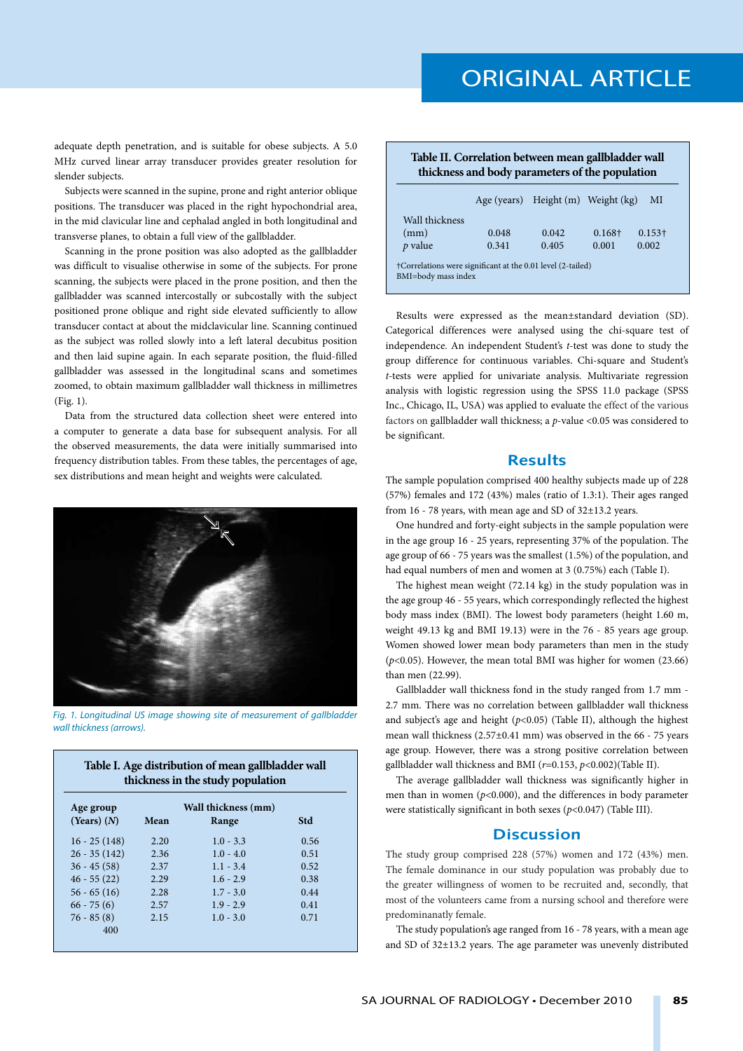adequate depth penetration, and is suitable for obese subjects. A 5.0 MHz curved linear array transducer provides greater resolution for slender subjects.

Subjects were scanned in the supine, prone and right anterior oblique positions. The transducer was placed in the right hypochondrial area, in the mid clavicular line and cephalad angled in both longitudinal and transverse planes, to obtain a full view of the gallbladder.

Scanning in the prone position was also adopted as the gallbladder was difficult to visualise otherwise in some of the subjects. For prone scanning, the subjects were placed in the prone position, and then the gallbladder was scanned intercostally or subcostally with the subject positioned prone oblique and right side elevated sufficiently to allow transducer contact at about the midclavicular line. Scanning continued as the subject was rolled slowly into a left lateral decubitus position and then laid supine again. In each separate position, the fluid-filled gallbladder was assessed in the longitudinal scans and sometimes zoomed, to obtain maximum gallbladder wall thickness in millimetres (Fig. 1).

Data from the structured data collection sheet were entered into a computer to generate a data base for subsequent analysis. For all the observed measurements, the data were initially summarised into frequency distribution tables. From these tables, the percentages of age, sex distributions and mean height and weights were calculated.



*Fig. 1. Longitudinal US image showing site of measurement of gallbladder wall thickness (arrows).*

**Table I. Age distribution of mean gallbladder wall** 

| Age group       | Wall thickness (mm) |             |            |  |
|-----------------|---------------------|-------------|------------|--|
| $(Years)$ $(N)$ | Mean                | Range       | <b>Std</b> |  |
| $16 - 25(148)$  | 2.20                | $1.0 - 3.3$ | 0.56       |  |
| $26 - 35(142)$  | 2.36                | $1.0 - 4.0$ | 0.51       |  |
| $36 - 45(58)$   | 2.37                | $1.1 - 3.4$ | 0.52       |  |
| $46 - 55(22)$   | 2.29                | $1.6 - 2.9$ | 0.38       |  |
| $56 - 65(16)$   | 2.28                | $1.7 - 3.0$ | 0.44       |  |
| $66 - 75(6)$    | 2.57                | $1.9 - 2.9$ | 0.41       |  |
| $76 - 85(8)$    | 2.15                | $1.0 - 3.0$ | 0.71       |  |

|                |       | Table II. Correlation between mean gallbladder wall<br>thickness and body parameters of the population |        |                |  |
|----------------|-------|--------------------------------------------------------------------------------------------------------|--------|----------------|--|
|                |       | Age (years) Height (m) Weight (kg)                                                                     |        | MI             |  |
| Wall thickness |       |                                                                                                        |        |                |  |
| (mm)           | 0.048 | 0.042                                                                                                  | 0.168+ | $0.153\dagger$ |  |
| $p$ value      | 0.341 | 0.405                                                                                                  | 0.001  | 0.002          |  |

†Correlations were significant at the 0.01 level (2-tailed) BMI=body mass index

Results were expressed as the mean±standard deviation (SD). Categorical differences were analysed using the chi-square test of independence. An independent Student's *t-*test was done to study the group difference for continuous variables. Chi-square and Student's *t-*tests were applied for univariate analysis. Multivariate regression analysis with logistic regression using the SPSS 11.0 package (SPSS Inc., Chicago, IL, USA) was applied to evaluate the effect of the various factors on gallbladder wall thickness; a *p*-value <0.05 was considered to be significant.

## **Results**

The sample population comprised 400 healthy subjects made up of 228 (57%) females and 172 (43%) males (ratio of 1.3:1). Their ages ranged from 16 - 78 years, with mean age and SD of 32±13.2 years.

One hundred and forty-eight subjects in the sample population were in the age group 16 - 25 years, representing 37% of the population. The age group of 66 - 75 years was the smallest (1.5%) of the population, and had equal numbers of men and women at 3 (0.75%) each (Table I).

The highest mean weight (72.14 kg) in the study population was in the age group 46 - 55 years, which correspondingly reflected the highest body mass index (BMI). The lowest body parameters (height 1.60 m, weight 49.13 kg and BMI 19.13) were in the 76 - 85 years age group. Women showed lower mean body parameters than men in the study (*p*<0.05). However, the mean total BMI was higher for women (23.66) than men (22.99).

Gallbladder wall thickness fond in the study ranged from 1.7 mm - 2.7 mm. There was no correlation between gallbladder wall thickness and subject's age and height  $(p<0.05)$  (Table II), although the highest mean wall thickness (2.57±0.41 mm) was observed in the 66 - 75 years age group. However, there was a strong positive correlation between gallbladder wall thickness and BMI (*r*=0.153, *p*<0.002)(Table II).

The average gallbladder wall thickness was significantly higher in men than in women (*p*<0.000), and the differences in body parameter were statistically significant in both sexes (*p*<0.047) (Table III).

#### **Discussion**

The study group comprised 228 (57%) women and 172 (43%) men. The female dominance in our study population was probably due to the greater willingness of women to be recruited and, secondly, that most of the volunteers came from a nursing school and therefore were predominanatly female.

The study population's age ranged from 16 - 78 years, with a mean age and SD of 32±13.2 years. The age parameter was unevenly distributed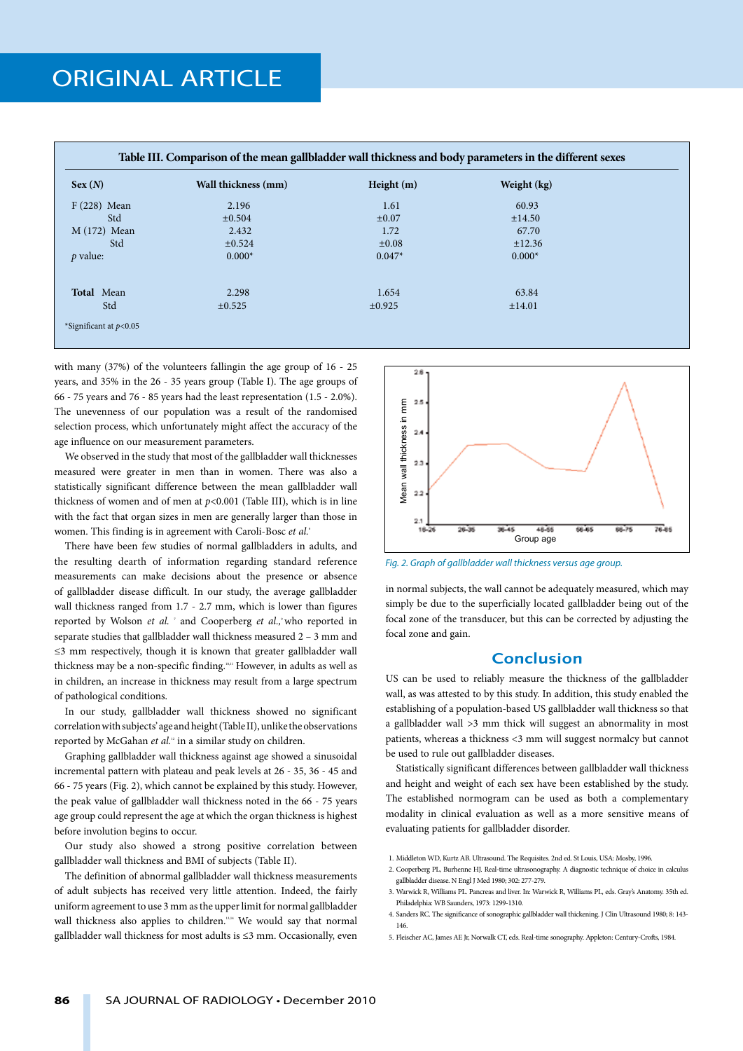| Sex(N)            | Wall thickness (mm) | Height $(m)$ | Weight (kg) |
|-------------------|---------------------|--------------|-------------|
| $F(228)$ Mean     | 2.196               | 1.61         | 60.93       |
| Std               | $\pm 0.504$         | $\pm 0.07$   | ±14.50      |
| $M(172)$ Mean     | 2.432               | 1.72         | 67.70       |
| Std               | ±0.524              | $\pm 0.08$   | ±12.36      |
| $p$ value:        | $0.000*$            | $0.047*$     | $0.000*$    |
| <b>Total</b> Mean | 2.298               | 1.654        | 63.84       |
| Std               | ±0.525              | $\pm 0.925$  | $\pm 14.01$ |

with many (37%) of the volunteers fallingin the age group of 16 - 25 years, and 35% in the 26 - 35 years group (Table I). The age groups of 66 - 75 years and 76 - 85 years had the least representation (1.5 - 2.0%). The unevenness of our population was a result of the randomised selection process, which unfortunately might affect the accuracy of the age influence on our measurement parameters.

We observed in the study that most of the gallbladder wall thicknesses measured were greater in men than in women. There was also a statistically significant difference between the mean gallbladder wall thickness of women and of men at *p*<0.001 (Table III), which is in line with the fact that organ sizes in men are generally larger than those in women. This finding is in agreement with Caroli-Bosc *et al.*<sup>6</sup>

There have been few studies of normal gallbladders in adults, and the resulting dearth of information regarding standard reference measurements can make decisions about the presence or absence of gallbladder disease difficult. In our study, the average gallbladder wall thickness ranged from 1.7 - 2.7 mm, which is lower than figures reported by Wolson *et al.* 7 and Cooperberg *et al.*,9 who reported in separate studies that gallbladder wall thickness measured 2 – 3 mm and ≤3 mm respectively, though it is known that greater gallbladder wall thickness may be a non-specific finding.<sup>10,11</sup> However, in adults as well as in children, an increase in thickness may result from a large spectrum of pathological conditions.

In our study, gallbladder wall thickness showed no significant correlation with subjects' age and height (Table II), unlike the observations reported by McGahan et al.<sup>12</sup> in a similar study on children.

Graphing gallbladder wall thickness against age showed a sinusoidal incremental pattern with plateau and peak levels at 26 - 35, 36 - 45 and 66 - 75 years (Fig. 2), which cannot be explained by this study. However, the peak value of gallbladder wall thickness noted in the 66 - 75 years age group could represent the age at which the organ thickness is highest before involution begins to occur.

Our study also showed a strong positive correlation between gallbladder wall thickness and BMI of subjects (Table II).

The definition of abnormal gallbladder wall thickness measurements of adult subjects has received very little attention. Indeed, the fairly uniform agreement to use 3 mm as the upper limit for normal gallbladder wall thickness also applies to children.<sup>334</sup> We would say that normal gallbladder wall thickness for most adults is ≤3 mm. Occasionally, even



in normal subjects, the wall cannot be adequately measured, which may simply be due to the superficially located gallbladder being out of the focal zone of the transducer, but this can be corrected by adjusting the focal zone and gain.

#### **Conclusion**

US can be used to reliably measure the thickness of the gallbladder wall, as was attested to by this study. In addition, this study enabled the establishing of a population-based US gallbladder wall thickness so that a gallbladder wall >3 mm thick will suggest an abnormality in most patients, whereas a thickness <3 mm will suggest normalcy but cannot be used to rule out gallbladder diseases.

Statistically significant differences between gallbladder wall thickness and height and weight of each sex have been established by the study. The established normogram can be used as both a complementary modality in clinical evaluation as well as a more sensitive means of evaluating patients for gallbladder disorder.

- 2. Cooperberg PL, Burhenne HJ. Real-time ultrasonography. A diagnostic technique of choice in calculus gallbladder disease. N Engl J Med 1980; 302: 277-279.
- 3. Warwick R, Williams PL. Pancreas and liver. In: Warwick R, Williams PL, eds. Gray's Anatomy. 35th ed. Philadelphia: WB Saunders, 1973: 1299-1310.
- 4. Sanders RC. The significance of sonographic gallbladder wall thickening. J Clin Ultrasound 1980; 8: 143- 146.
- 5. Fleischer AC, James AE Jr, Norwalk CT, eds. Real-time sonography. Appleton: Century-Crofts, 1984.

 <sup>1.</sup> Middleton WD, Kurtz AB. Ultrasound. The Requisites. 2nd ed. St Louis, USA: Mosby, 1996.